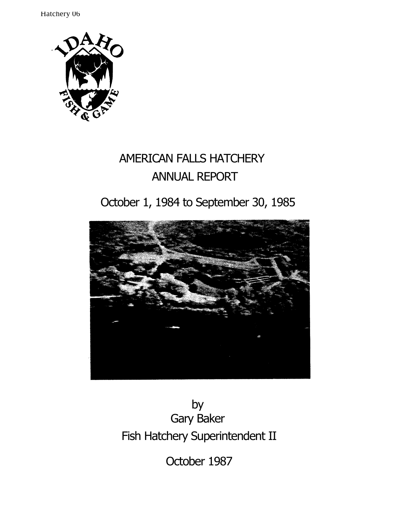Hatchery 06



# AMERICAN FALLS HATCHERY ANNUAL REPORT

# October 1, 1984 to September 30, 1985



by Gary Baker Fish Hatchery Superintendent II

October 1987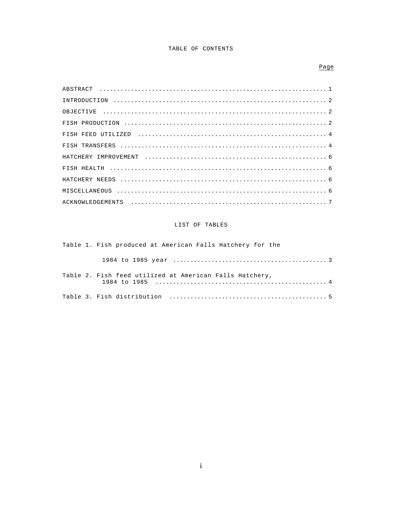## TABLE OF CONTENTS

## $Page$

## LIST OF TABLES

Table 1. Fish produced at American Falls Hatchery for the Table 2. Fish feed utilized at American Falls Hatchery,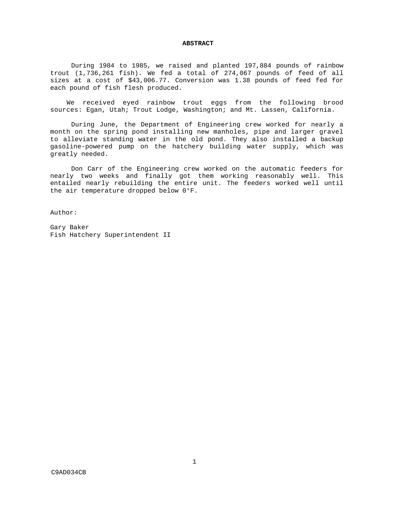## **ABSTRACT**

During 1984 to 1985, we raised and planted 197,884 pounds of rainbow trout (1,736,261 fish). We fed a total of 274,067 pounds of feed of all sizes at a cost of \$43,006.77. Conversion was 1.38 pounds of feed fed for each pound of fish flesh produced.

We received eyed rainbow trout eggs from the following brood sources: Egan, Utah; Trout Lodge, Washington; and Mt. Lassen, California.

During June, the Department of Engineering crew worked for nearly a month on the spring pond installing new manholes, pipe and larger gravel to alleviate standing water in the old pond. They also installed a backup gasoline-powered pump on the hatchery building water supply, which was greatly needed.

Don Carr of the Engineering crew worked on the automatic feeders for nearly two weeks and finally got them working reasonably well. This entailed nearly rebuilding the entire unit. The feeders worked well until the air temperature dropped below 0°F.

Author:

Gary Baker Fish Hatchery Superintendent II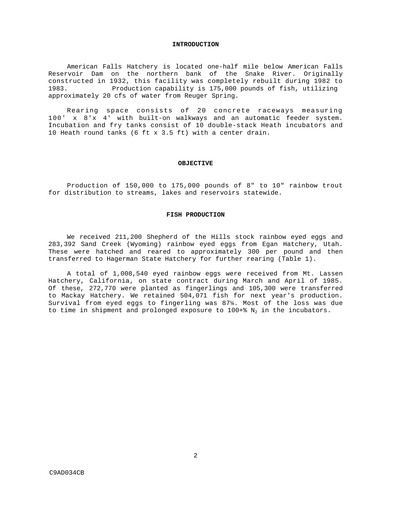#### **INTRODUCTION**

American Falls Hatchery is located one-half mile below American Falls Reservoir Dam on the northern bank of the Snake River. Originally constructed in 1932, this facility was completely rebuilt during 1982 to 1983. Production capability is 175,000 pounds of fish, utilizing approximately 20 cfs of water from Reuger Spring.

Rearing space consists of 20 concrete raceways measuring 100' x 8'x 4' with built-on walkways and an automatic feeder system. Incubation and fry tanks consist of 10 double-stack Heath incubators and 10 Heath round tanks (6 ft x 3.5 ft) with a center drain.

### **OBJECTIVE**

Production of 150,000 to 175,000 pounds of 8" to 10" rainbow trout for distribution to streams, lakes and reservoirs statewide.

## **FISH PRODUCTION**

We received 211,200 Shepherd of the Hills stock rainbow eyed eggs and 283,392 Sand Creek (Wyoming) rainbow eyed eggs from Egan Hatchery, Utah. These were hatched and reared to approximately 300 per pound and then transferred to Hagerman State Hatchery for further rearing (Table 1).

A total of 1,008,540 eyed rainbow eggs were received from Mt. Lassen Hatchery, California, on state contract during March and April of 1985. Of these, 272,770 were planted as fingerlings and 105,300 were transferred to Mackay Hatchery. We retained 504,071 fish for next year's production. Survival from eyed eggs to fingerling was 87¼. Most of the loss was due to time in shipment and prolonged exposure to  $100+8$  N<sub>2</sub> in the incubators.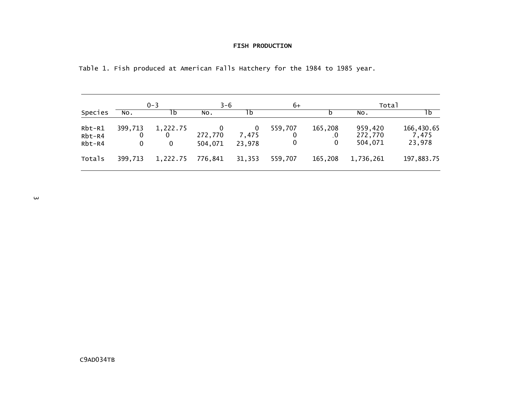## **FISH PRODUCTION**

| Table 1. Fish produced at American Falls Hatchery for the 1984 to 1985 year. |  |  |  |  |  |  |  |  |  |  |
|------------------------------------------------------------------------------|--|--|--|--|--|--|--|--|--|--|
|------------------------------------------------------------------------------|--|--|--|--|--|--|--|--|--|--|

|                                |                              | $0 - 3$            | $3 - 6$            |                 | 6+                |                           | Total                         |                               |
|--------------------------------|------------------------------|--------------------|--------------------|-----------------|-------------------|---------------------------|-------------------------------|-------------------------------|
| Species                        | NO.                          | ۱b                 | NO.                | 1b              |                   |                           | NO.                           | 1b                            |
| $Rbt-R1$<br>$Rbt-R4$<br>Rbt-R4 | 399,713<br>0<br>$\mathbf{0}$ | 1,222.75<br>0<br>0 | 272,770<br>504,071 | 7,475<br>23,978 | 559,707<br>0<br>0 | 165,208<br>$\cdot$ 0<br>0 | 959,420<br>272,770<br>504,071 | 166,430.65<br>7,475<br>23,978 |
| Totals                         | 399,713                      | 1,222.75           | 776,841            | 31,353          | 559,707           | 165,208                   | 1,736,261                     | 197,883.75                    |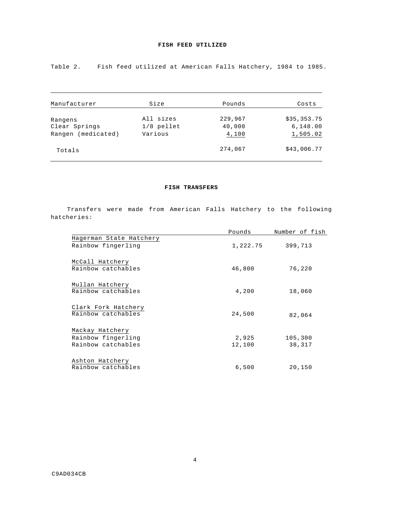Table 2. Fish feed utilized at American Falls Hatchery, 1984 to 1985.

| Manufacturer          | Size         | Pounds  | Costs       |
|-----------------------|--------------|---------|-------------|
| Rangens               | All sizes    | 229,967 | \$35,353.75 |
| Clear Springs         | $1/8$ pellet | 40,000  | 6,148.00    |
| (medicated)<br>Rangen | Various      | 4,100   | 1,505.02    |
| Totals                |              | 274,067 | \$43,006.77 |

## **FISH TRANSFERS**

Transfers were made from American Falls Hatchery to the following hatcheries:

|                                           | Pounds   | Number of fish |
|-------------------------------------------|----------|----------------|
| Hagerman State Hatchery                   |          |                |
| Rainbow fingerling                        | 1,222.75 | 399,713        |
| McCall Hatchery<br>Rainbow catchables     | 46,800   | 76,220         |
| Mullan Hatchery<br>Rainbow catchables     | 4,200    | 18,060         |
| Clark Fork Hatchery<br>Rainbow catchables | 24,500   | 82,064         |
| Mackay Hatchery                           |          |                |
| Rainbow fingerling                        | 2,925    | 105,300        |
| Rainbow catchables                        | 12,100   | 38,317         |
| Ashton Hatchery<br>Rainbow catchables     | 6,500    | 20,150         |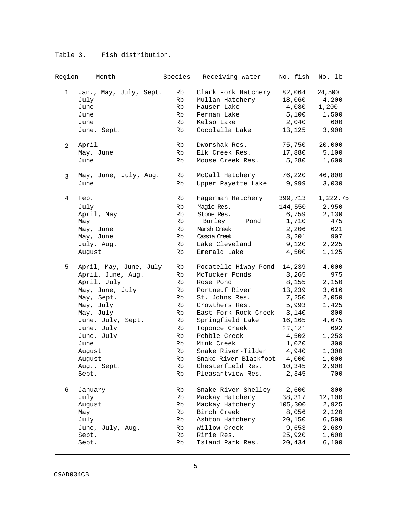| Region | Month                  | Species | Receiving water             | No. fish | No. lb   |
|--------|------------------------|---------|-----------------------------|----------|----------|
| 1      | Jan., May, July, Sept. | Rb      | Clark Fork Hatchery         | 82,064   | 24,500   |
|        | July                   | Rb      | Mullan Hatchery             | 18,060   | 4,200    |
|        | June                   | Rb      | Hauser Lake                 | 4,080    | 1,200    |
|        | June                   | Rb      | Fernan Lake                 | 5,100    | 1,500    |
|        | June                   | Rb      | Kelso Lake                  | 2,040    | 600      |
|        | June, Sept.            | Rb      | Cocolalla Lake              | 13,125   | 3,900    |
| 2      | April                  | Rb      | Dworshak Res.               | 75,750   | 20,000   |
|        | May, June              | Rb      | Elk Creek Res.              | 17,880   | 5,100    |
|        | June                   | Rb      | Moose Creek Res.            | 5,280    | 1,600    |
| 3      | May, June, July, Aug.  | Rb      | McCall Hatchery             | 76,220   | 46,800   |
|        | June                   | Rb      | Upper Payette Lake          | 9,999    | 3,030    |
| 4      | Feb.                   | Rb      | Hagerman Hatchery           | 399,713  | 1,222.75 |
|        | July                   | Rb      | Magic Res.                  | 144,550  | 2,950    |
|        | April, May             | Rb      | Stone Res.                  | 6,759    | 2,130    |
|        | May                    | Rb      | Burley<br>Pond              | 1,710    | 475      |
|        | May, June              | Rb      | Marsh Creek                 | 2,206    | 621      |
|        | May, June              | Rb      | Cassia Creek                | 3,201    | 907      |
|        | July, Aug.             | Rb      | Lake Cleveland              | 9,120    | 2,225    |
|        | August                 | Rb      | Emerald Lake                | 4,500    | 1,125    |
| 5      | April, May, June, July | Rb      | Pocatello Hiway Pond        | 14,239   | 4,000    |
|        | April, June, Aug.      | Rb      | McTucker Ponds              | 3,265    | 975      |
|        | April, July            | Rb      | Rose Pond                   | 8,155    | 2,150    |
|        | May, June, July        | Rb      | Portneuf River              | 13,239   | 3,616    |
|        | May, Sept.             | Rb      | St. Johns Res.              | 7,250    | 2,050    |
|        | May, July              | Rb      | Crowthers Res.              | 5,993    | 1,425    |
|        | May, July              | Rb      | East Fork Rock Creek        | 3,140    | 800      |
|        | June, July, Sept.      | Rb      | Springfield Lake            | 16,165   | 4,675    |
|        | June, July             | Rb      | Toponce Creek               | 27,121   | 692      |
|        | June, July             | Rb      | Pebble Creek                | 4,502    | 1,253    |
|        | June                   | Rb      | Mink Creek                  | 1,020    | 300      |
|        | August                 | Rb      | Snake River-Tilden          | 4,940    | 1,300    |
|        | August                 | Rb      | Snake River-Blackfoot 4,000 |          | 1,000    |
|        | Aug., Sept.            | Rb      | Chesterfield Res.           | 10,345   | 2,900    |
|        | Sept.                  | Rb      | Pleasantview Res.           | 2,345    | 700      |
| 6      | January                | Rb      | Snake River Shelley         | 2,600    | 800      |
|        | July                   | Rb      | Mackay Hatchery             | 38,317   | 12,100   |
|        | August                 | Rb      | Mackay Hatchery             | 105,300  | 2,925    |
|        | May                    | Rb      | Birch Creek                 | 8,056    | 2,120    |
|        | July                   | Rb      | Ashton Hatchery             | 20,150   | 6,500    |
|        | June, July, Aug.       | Rb      | Willow Creek                | 9,653    | 2,689    |
|        | Sept.                  | Rb      | Ririe Res.                  | 25,920   | 1,600    |
|        | Sept.                  | Rb      | Island Park Res.            | 20,434   | 6,100    |

# Table 3. Fish distribution.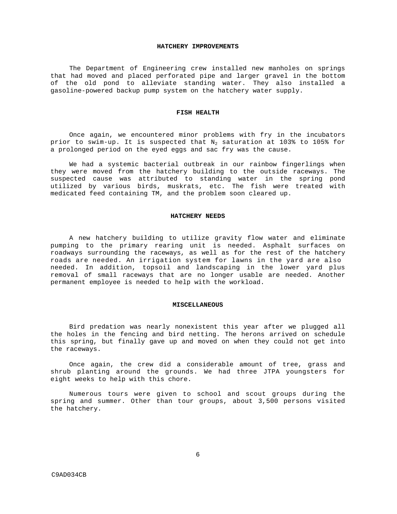#### **HATCHERY IMPROVEMENTS**

The Department of Engineering crew installed new manholes on springs that had moved and placed perforated pipe and larger gravel in the bottom of the old pond to alleviate standing water. They also installed a gasoline-powered backup pump system on the hatchery water supply.

## **FISH HEALTH**

Once again, we encountered minor problems with fry in the incubators prior to swim-up. It is suspected that  $N_2$  saturation at 103% to 105% for a prolonged period on the eyed eggs and sac fry was the cause.

We had a systemic bacterial outbreak in our rainbow fingerlings when they were moved from the hatchery building to the outside raceways. The suspected cause was attributed to standing water in the spring pond utilized by various birds, muskrats, etc. The fish were treated with medicated feed containing TM, and the problem soon cleared up.

### **HATCHERY NEEDS**

A new hatchery building to utilize gravity flow water and eliminate pumping to the primary rearing unit is needed. Asphalt surfaces on roadways surrounding the raceways, as well as for the rest of the hatchery roads are needed. An irrigation system for lawns in the yard are also needed. In addition, topsoil and landscaping in the lower yard plus removal of small raceways that are no longer usable are needed. Another permanent employee is needed to help with the workload.

#### **MISCELLANEOUS**

Bird predation was nearly nonexistent this year after we plugged all the holes in the fencing and bird netting. The herons arrived on schedule this spring, but finally gave up and moved on when they could not get into the raceways.

Once again, the crew did a considerable amount of tree, grass and shrub planting around the grounds. We had three JTPA youngsters for eight weeks to help with this chore.

Numerous tours were given to school and scout groups during the spring and summer. Other than tour groups, about 3,500 persons visited the hatchery.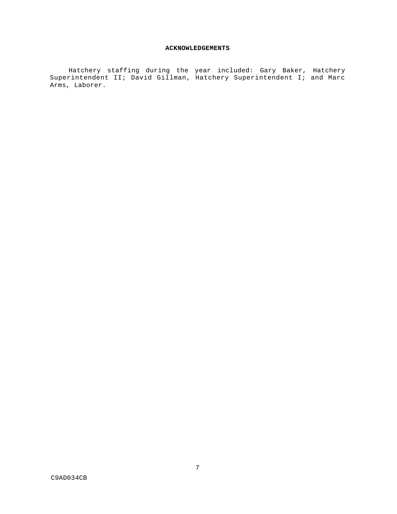## **ACKNOWLEDGEMENTS**

Hatchery staffing during the year included: Gary Baker, Hatchery Superintendent II; David Gillman, Hatchery Superintendent I; and Marc Arms, Laborer.